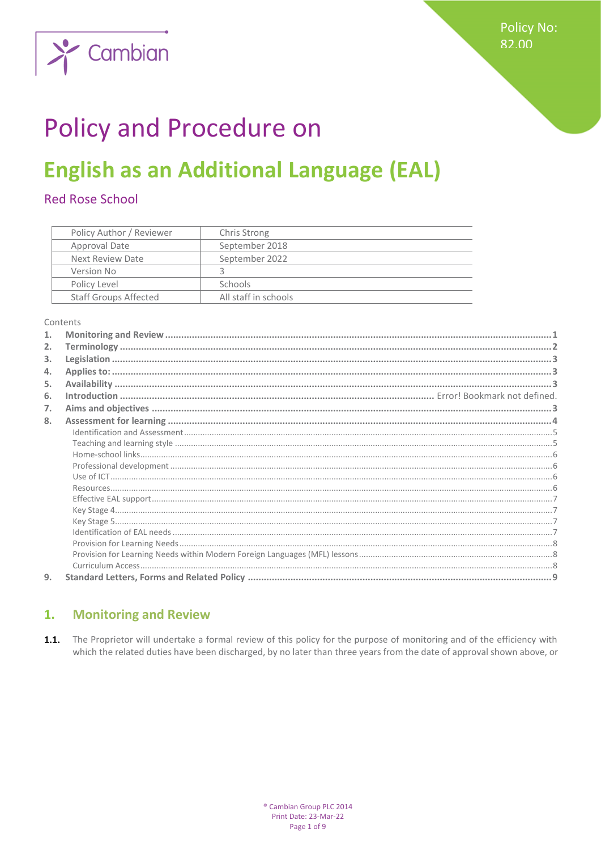

# **Policy and Procedure on**

## **English as an Additional Language (EAL)**

## **Red Rose School**

| Policy Author / Reviewer     | Chris Strong         |
|------------------------------|----------------------|
| Approval Date                | September 2018       |
| Next Review Date             | September 2022       |
| Version No                   |                      |
| Policy Level                 | <b>Schools</b>       |
| <b>Staff Groups Affected</b> | All staff in schools |

Contents

| 2. |  |
|----|--|
| 3. |  |
| 4. |  |
| 5. |  |
| 6. |  |
| 7. |  |
| 8. |  |
|    |  |
|    |  |
|    |  |
|    |  |
|    |  |
|    |  |
|    |  |
|    |  |
|    |  |
|    |  |
|    |  |
|    |  |
|    |  |
| 9. |  |

#### <span id="page-0-0"></span> $\overline{1}$ . **Monitoring and Review**

1.1. The Proprietor will undertake a formal review of this policy for the purpose of monitoring and of the efficiency with which the related duties have been discharged, by no later than three years from the date of approval shown above, or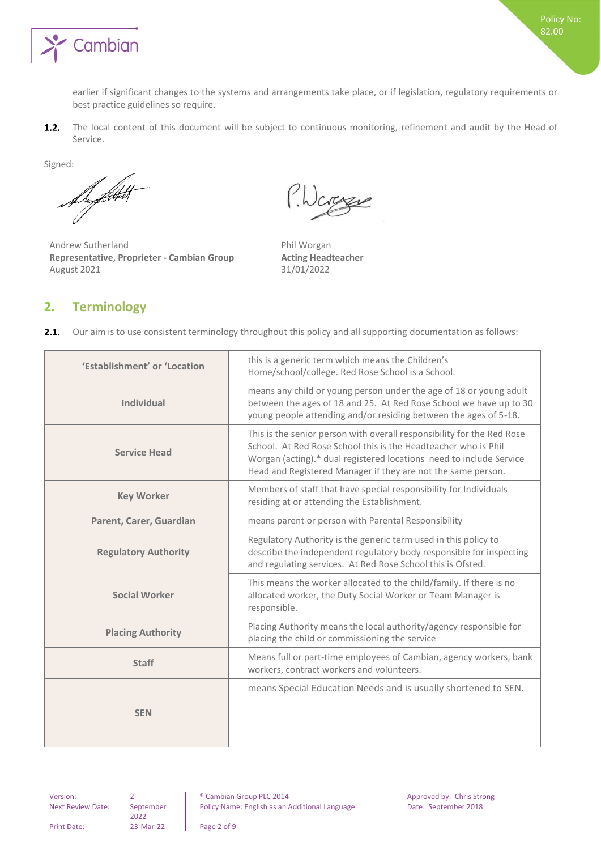

earlier if significant changes to the systems and arrangements take place, or if legislation, regulatory requirements or best practice guidelines so require.

The local content of this document will be subject to continuous monitoring, refinement and audit by the Head of  $1.2.$ Service.

Signed:

De fatt

Andrew Sutherland **Phil Worgan Representative, Proprieter - Cambian Group Acting Headteacher** August 2021 31/01/2022

P.Warene

## <span id="page-1-0"></span>**2. Terminology**

 $2.1.$ Our aim is to use consistent terminology throughout this policy and all supporting documentation as follows:

| 'Establishment' or 'Location | this is a generic term which means the Children's<br>Home/school/college. Red Rose School is a School.                                                                                                                                                                          |
|------------------------------|---------------------------------------------------------------------------------------------------------------------------------------------------------------------------------------------------------------------------------------------------------------------------------|
| <b>Individual</b>            | means any child or young person under the age of 18 or young adult<br>between the ages of 18 and 25. At Red Rose School we have up to 30<br>young people attending and/or residing between the ages of 5-18.                                                                    |
| <b>Service Head</b>          | This is the senior person with overall responsibility for the Red Rose<br>School. At Red Rose School this is the Headteacher who is Phil<br>Worgan (acting).* dual registered locations need to include Service<br>Head and Registered Manager if they are not the same person. |
| <b>Key Worker</b>            | Members of staff that have special responsibility for Individuals<br>residing at or attending the Establishment.                                                                                                                                                                |
| Parent, Carer, Guardian      | means parent or person with Parental Responsibility                                                                                                                                                                                                                             |
| <b>Regulatory Authority</b>  | Regulatory Authority is the generic term used in this policy to<br>describe the independent regulatory body responsible for inspecting<br>and regulating services. At Red Rose School this is Ofsted.                                                                           |
| <b>Social Worker</b>         | This means the worker allocated to the child/family. If there is no<br>allocated worker, the Duty Social Worker or Team Manager is<br>responsible.                                                                                                                              |
| <b>Placing Authority</b>     | Placing Authority means the local authority/agency responsible for<br>placing the child or commissioning the service                                                                                                                                                            |
| <b>Staff</b>                 | Means full or part-time employees of Cambian, agency workers, bank<br>workers, contract workers and volunteers.                                                                                                                                                                 |
| <b>SEN</b>                   | means Special Education Needs and is usually shortened to SEN.                                                                                                                                                                                                                  |
|                              |                                                                                                                                                                                                                                                                                 |

Next Review Date: September 2022

Version: 2 2 **and 2 example 2** Cambian Group PLC 2014 **Approved by:** Chris Strong Policy Name: English as an Additional Language Date: September 2018

Print Date: 23-Mar-22 Page 2 of 9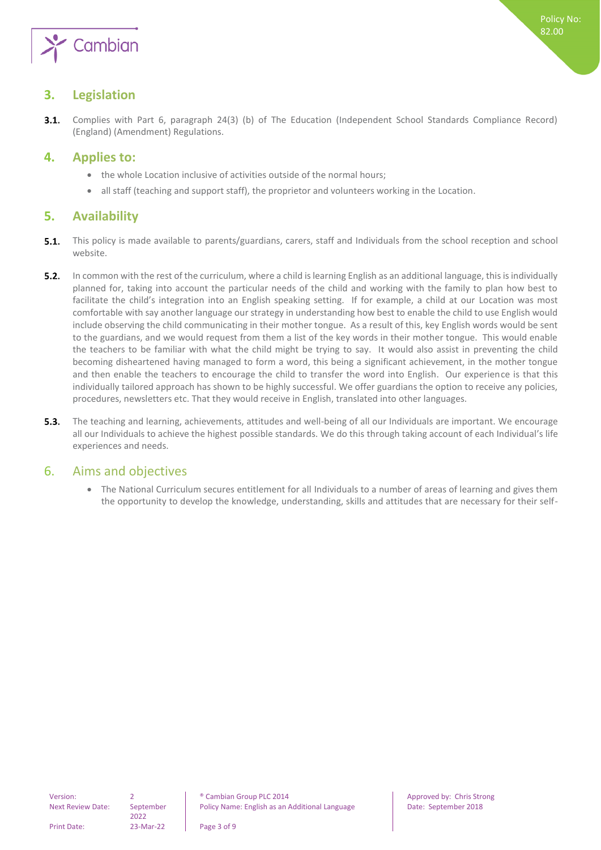

## <span id="page-2-0"></span>**3. Legislation**

 $3.1.$ Complies with Part 6, paragraph 24(3) (b) of The Education (Independent School Standards Compliance Record) (England) (Amendment) Regulations.

## <span id="page-2-1"></span>**4. Applies to:**

- the whole Location inclusive of activities outside of the normal hours;
- <span id="page-2-2"></span>all staff (teaching and support staff), the proprietor and volunteers working in the Location.

## **5. Availability**

- $5.1.$ This policy is made available to parents/guardians, carers, staff and Individuals from the school reception and school website.
- $5.2.$ In common with the rest of the curriculum, where a child is learning English as an additional language, this is individually planned for, taking into account the particular needs of the child and working with the family to plan how best to facilitate the child's integration into an English speaking setting. If for example, a child at our Location was most comfortable with say another language our strategy in understanding how best to enable the child to use English would include observing the child communicating in their mother tongue. As a result of this, key English words would be sent to the guardians, and we would request from them a list of the key words in their mother tongue. This would enable the teachers to be familiar with what the child might be trying to say. It would also assist in preventing the child becoming disheartened having managed to form a word, this being a significant achievement, in the mother tongue and then enable the teachers to encourage the child to transfer the word into English. Our experience is that this individually tailored approach has shown to be highly successful. We offer guardians the option to receive any policies, procedures, newsletters etc. That they would receive in English, translated into other languages.
- $5.3.$ The teaching and learning, achievements, attitudes and well-being of all our Individuals are important. We encourage all our Individuals to achieve the highest possible standards. We do this through taking account of each Individual's life experiences and needs.

## <span id="page-2-3"></span>6. Aims and objectives

• The National Curriculum secures entitlement for all Individuals to a number of areas of learning and gives them the opportunity to develop the knowledge, understanding, skills and attitudes that are necessary for their self-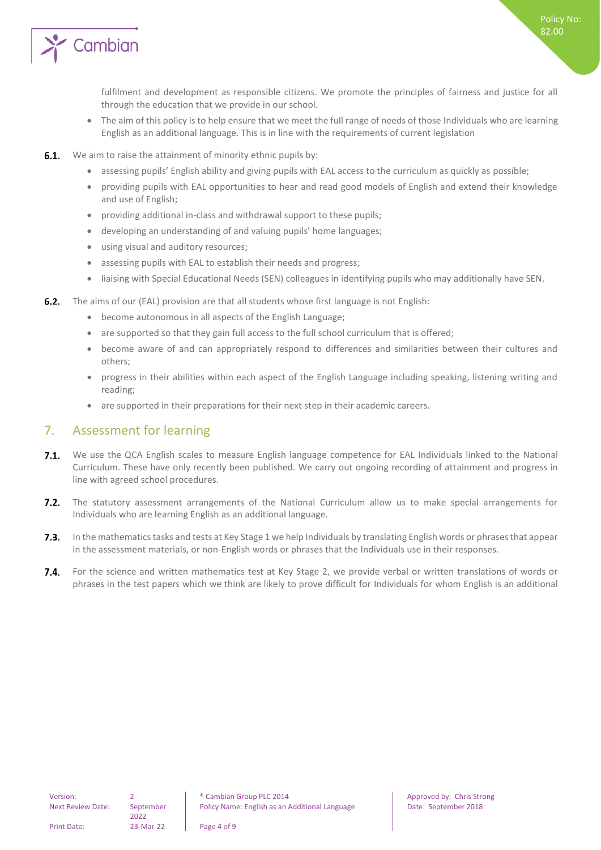

fulfilment and development as responsible citizens. We promote the principles of fairness and justice for all through the education that we provide in our school.

- The aim of this policy is to help ensure that we meet the full range of needs of those Individuals who are learning English as an additional language. This is in line with the requirements of current legislation
- $6.1.$ We aim to raise the attainment of minority ethnic pupils by:
	- assessing pupils' English ability and giving pupils with EAL access to the curriculum as quickly as possible;
	- providing pupils with EAL opportunities to hear and read good models of English and extend their knowledge and use of English;
	- providing additional in-class and withdrawal support to these pupils;
	- developing an understanding of and valuing pupils' home languages;
	- using visual and auditory resources;
	- assessing pupils with EAL to establish their needs and progress;
	- liaising with Special Educational Needs (SEN) colleagues in identifying pupils who may additionally have SEN.
- **6.2.** The aims of our (EAL) provision are that all students whose first language is not English:
	- become autonomous in all aspects of the English Language;
	- are supported so that they gain full access to the full school curriculum that is offered;
	- become aware of and can appropriately respond to differences and similarities between their cultures and others;
	- progress in their abilities within each aspect of the English Language including speaking, listening writing and reading;
	- are supported in their preparations for their next step in their academic careers.

## <span id="page-3-0"></span>7. Assessment for learning

- $7.1.$ We use the QCA English scales to measure English language competence for EAL Individuals linked to the National Curriculum. These have only recently been published. We carry out ongoing recording of attainment and progress in line with agreed school procedures.
- $7.2.$ The statutory assessment arrangements of the National Curriculum allow us to make special arrangements for Individuals who are learning English as an additional language.
- $7.3.$ In the mathematics tasks and tests at Key Stage 1 we help Individuals by translating English words or phrases that appear in the assessment materials, or non-English words or phrases that the Individuals use in their responses.
- $7.4.$ For the science and written mathematics test at Key Stage 2, we provide verbal or written translations of words or phrases in the test papers which we think are likely to prove difficult for Individuals for whom English is an additional

2022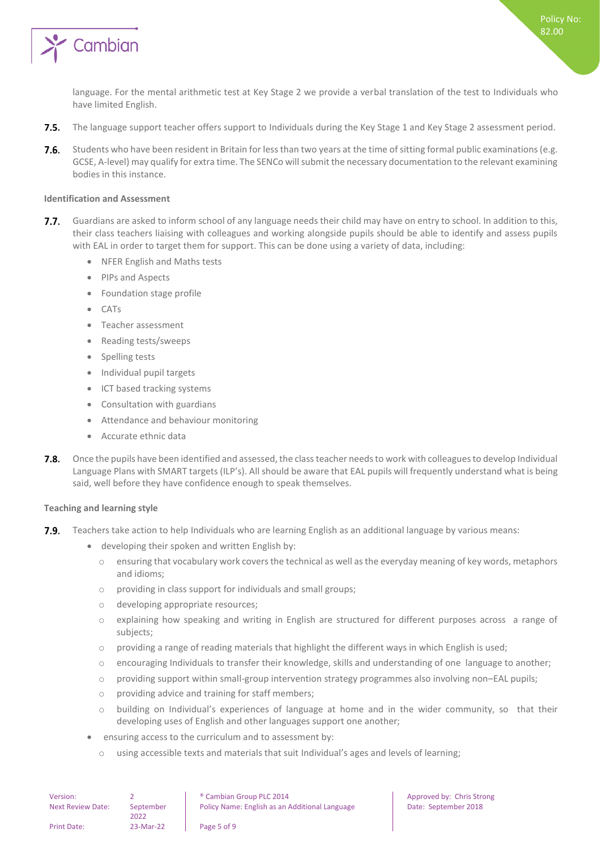

language. For the mental arithmetic test at Key Stage 2 we provide a verbal translation of the test to Individuals who have limited English.

- $7.5.$ The language support teacher offers support to Individuals during the Key Stage 1 and Key Stage 2 assessment period.
- $7.6.$ Students who have been resident in Britain for less than two years at the time of sitting formal public examinations (e.g. GCSE, A-level) may qualify for extra time. The SENCo will submit the necessary documentation to the relevant examining bodies in this instance.

#### <span id="page-4-0"></span>**Identification and Assessment**

- $7.7.$ Guardians are asked to inform school of any language needs their child may have on entry to school. In addition to this, their class teachers liaising with colleagues and working alongside pupils should be able to identify and assess pupils with EAL in order to target them for support. This can be done using a variety of data, including:
	- NFER English and Maths tests
	- PIPs and Aspects
	- Foundation stage profile
	- CATs
	- Teacher assessment
	- Reading tests/sweeps
	- Spelling tests
	- Individual pupil targets
	- ICT based tracking systems
	- Consultation with guardians
	- Attendance and behaviour monitoring
	- Accurate ethnic data
- $7.8.$ Once the pupils have been identified and assessed, the class teacher needs to work with colleagues to develop Individual Language Plans with SMART targets (ILP's). All should be aware that EAL pupils will frequently understand what is being said, well before they have confidence enough to speak themselves.

#### <span id="page-4-1"></span>**Teaching and learning style**

- $7.9.$ Teachers take action to help Individuals who are learning English as an additional language by various means:
	- developing their spoken and written English by:
		- o ensuring that vocabulary work covers the technical as well as the everyday meaning of key words, metaphors and idioms;
		- o providing in class support for individuals and small groups;
		- o developing appropriate resources;
		- o explaining how speaking and writing in English are structured for different purposes across a range of subjects;
		- $\circ$  providing a range of reading materials that highlight the different ways in which English is used;
		- $\circ$  encouraging Individuals to transfer their knowledge, skills and understanding of one language to another;
		- o providing support within small-group intervention strategy programmes also involving non–EAL pupils;
		- o providing advice and training for staff members;
		- o building on Individual's experiences of language at home and in the wider community, so that their developing uses of English and other languages support one another;
	- ensuring access to the curriculum and to assessment by:
		- o using accessible texts and materials that suit Individual's ages and levels of learning;

| Version:                 |                   | <sup>®</sup> Cambian Group PLC 2014            |
|--------------------------|-------------------|------------------------------------------------|
| <b>Next Review Date:</b> | September<br>2022 | Policy Name: English as an Additional Language |
| <b>Print Date:</b>       | 23-Mar-22         | Page 5 of 9                                    |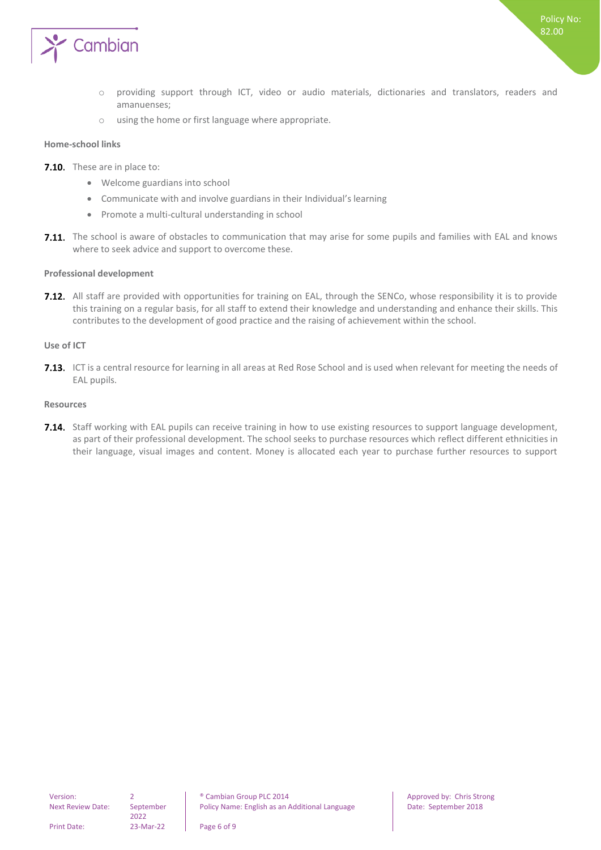

- o providing support through ICT, video or audio materials, dictionaries and translators, readers and amanuenses;
- o using the home or first language where appropriate.

#### <span id="page-5-0"></span>**Home-school links**

- 7.10. These are in place to:
	- Welcome guardians into school
	- Communicate with and involve guardians in their Individual's learning
	- Promote a multi-cultural understanding in school
- 7.11. The school is aware of obstacles to communication that may arise for some pupils and families with EAL and knows where to seek advice and support to overcome these.

#### <span id="page-5-1"></span>**Professional development**

7.12. All staff are provided with opportunities for training on EAL, through the SENCo, whose responsibility it is to provide this training on a regular basis, for all staff to extend their knowledge and understanding and enhance their skills. This contributes to the development of good practice and the raising of achievement within the school.

#### <span id="page-5-2"></span>**Use of ICT**

**7.13.** ICT is a central resource for learning in all areas at Red Rose School and is used when relevant for meeting the needs of EAL pupils.

#### <span id="page-5-3"></span>**Resources**

7.14. Staff working with EAL pupils can receive training in how to use existing resources to support language development, as part of their professional development. The school seeks to purchase resources which reflect different ethnicities in their language, visual images and content. Money is allocated each year to purchase further resources to support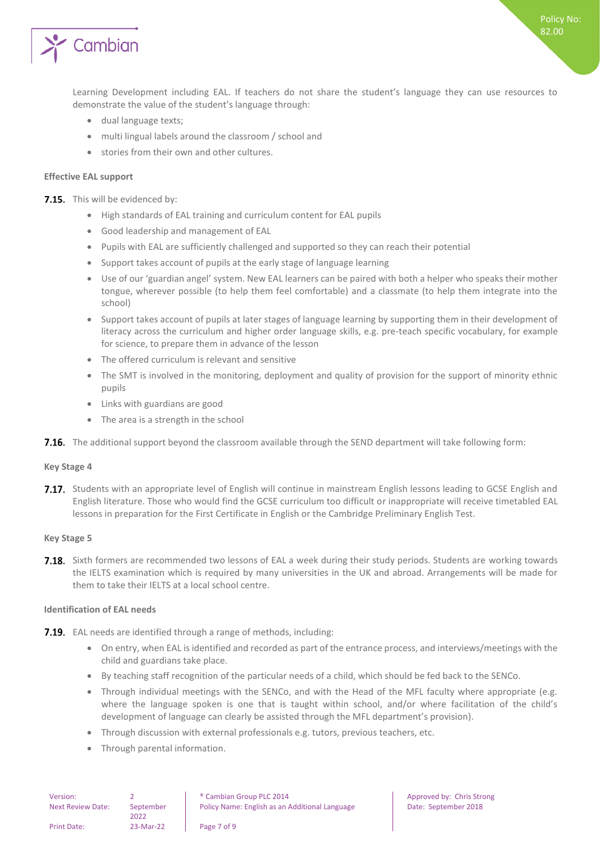

Learning Development including EAL. If teachers do not share the student's language they can use resources to demonstrate the value of the student's language through:

- dual language texts;
- multi lingual labels around the classroom / school and
- stories from their own and other cultures.

#### <span id="page-6-0"></span>**Effective EAL support**

7.15. This will be evidenced by:

- High standards of EAL training and curriculum content for EAL pupils
- Good leadership and management of EAL
- Pupils with EAL are sufficiently challenged and supported so they can reach their potential
- Support takes account of pupils at the early stage of language learning
- Use of our 'guardian angel' system. New EAL learners can be paired with both a helper who speaks their mother tongue, wherever possible (to help them feel comfortable) and a classmate (to help them integrate into the school)
- Support takes account of pupils at later stages of language learning by supporting them in their development of literacy across the curriculum and higher order language skills, e.g. pre-teach specific vocabulary, for example for science, to prepare them in advance of the lesson
- The offered curriculum is relevant and sensitive
- The SMT is involved in the monitoring, deployment and quality of provision for the support of minority ethnic pupils
- Links with guardians are good
- The area is a strength in the school
- <span id="page-6-1"></span>**7.16.** The additional support beyond the classroom available through the SEND department will take following form:

#### **Key Stage 4**

7.17. Students with an appropriate level of English will continue in mainstream English lessons leading to GCSE English and English literature. Those who would find the GCSE curriculum too difficult or inappropriate will receive timetabled EAL lessons in preparation for the First Certificate in English or the Cambridge Preliminary English Test.

#### <span id="page-6-2"></span>**Key Stage 5**

**7.18.** Sixth formers are recommended two lessons of EAL a week during their study periods. Students are working towards the IELTS examination which is required by many universities in the UK and abroad. Arrangements will be made for them to take their IELTS at a local school centre.

#### <span id="page-6-3"></span>**Identification of EAL needs**

- **7.19.** EAL needs are identified through a range of methods, including:
	- On entry, when EAL is identified and recorded as part of the entrance process, and interviews/meetings with the child and guardians take place.
	- By teaching staff recognition of the particular needs of a child, which should be fed back to the SENCo.
	- Through individual meetings with the SENCo, and with the Head of the MFL faculty where appropriate (e.g. where the language spoken is one that is taught within school, and/or where facilitation of the child's development of language can clearly be assisted through the MFL department's provision).
	- Through discussion with external professionals e.g. tutors, previous teachers, etc.
	- Through parental information.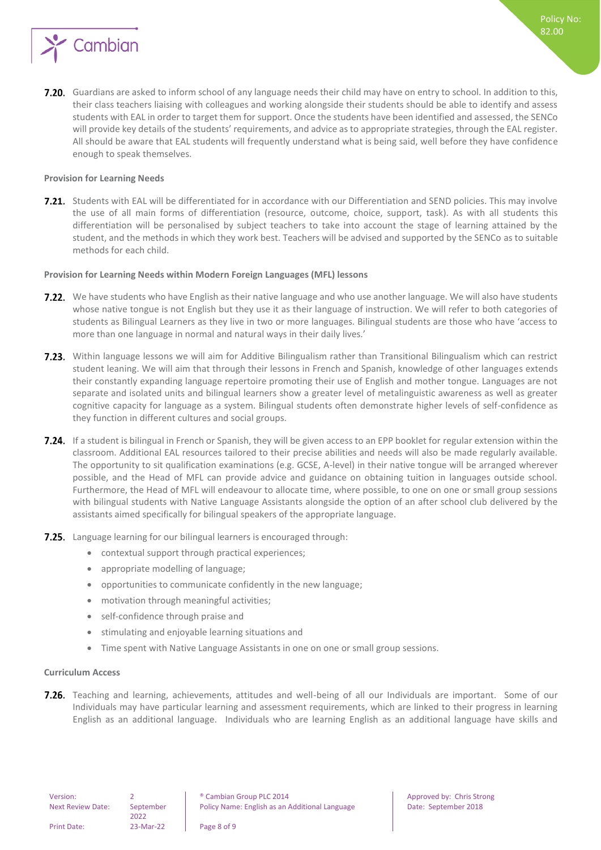

7.20. Guardians are asked to inform school of any language needs their child may have on entry to school. In addition to this, their class teachers liaising with colleagues and working alongside their students should be able to identify and assess students with EAL in order to target them for support. Once the students have been identified and assessed, the SENCo will provide key details of the students' requirements, and advice as to appropriate strategies, through the EAL register. All should be aware that EAL students will frequently understand what is being said, well before they have confidence enough to speak themselves.

#### <span id="page-7-0"></span>**Provision for Learning Needs**

**7.21.** Students with EAL will be differentiated for in accordance with our Differentiation and SEND policies. This may involve the use of all main forms of differentiation (resource, outcome, choice, support, task). As with all students this differentiation will be personalised by subject teachers to take into account the stage of learning attained by the student, and the methods in which they work best. Teachers will be advised and supported by the SENCo as to suitable methods for each child.

#### <span id="page-7-1"></span>**Provision for Learning Needs within Modern Foreign Languages (MFL) lessons**

- **7.22.** We have students who have English as their native language and who use another language. We will also have students whose native tongue is not English but they use it as their language of instruction. We will refer to both categories of students as Bilingual Learners as they live in two or more languages. Bilingual students are those who have 'access to more than one language in normal and natural ways in their daily lives.'
- **7.23.** Within language lessons we will aim for Additive Bilingualism rather than Transitional Bilingualism which can restrict student leaning. We will aim that through their lessons in French and Spanish, knowledge of other languages extends their constantly expanding language repertoire promoting their use of English and mother tongue. Languages are not separate and isolated units and bilingual learners show a greater level of metalinguistic awareness as well as greater cognitive capacity for language as a system. Bilingual students often demonstrate higher levels of self-confidence as they function in different cultures and social groups.
- 7.24. If a student is bilingual in French or Spanish, they will be given access to an EPP booklet for regular extension within the classroom. Additional EAL resources tailored to their precise abilities and needs will also be made regularly available. The opportunity to sit qualification examinations (e.g. GCSE, A-level) in their native tongue will be arranged wherever possible, and the Head of MFL can provide advice and guidance on obtaining tuition in languages outside school. Furthermore, the Head of MFL will endeavour to allocate time, where possible, to one on one or small group sessions with bilingual students with Native Language Assistants alongside the option of an after school club delivered by the assistants aimed specifically for bilingual speakers of the appropriate language.
- **7.25.** Language learning for our bilingual learners is encouraged through:
	- contextual support through practical experiences;
	- appropriate modelling of language;
	- opportunities to communicate confidently in the new language;
	- motivation through meaningful activities;
	- self-confidence through praise and
	- stimulating and enjoyable learning situations and
	- Time spent with Native Language Assistants in one on one or small group sessions.

#### <span id="page-7-2"></span>**Curriculum Access**

7.26. Teaching and learning, achievements, attitudes and well-being of all our Individuals are important. Some of our Individuals may have particular learning and assessment requirements, which are linked to their progress in learning English as an additional language. Individuals who are learning English as an additional language have skills and

2022

Print Date: 23-Mar-22 Page 8 of 9